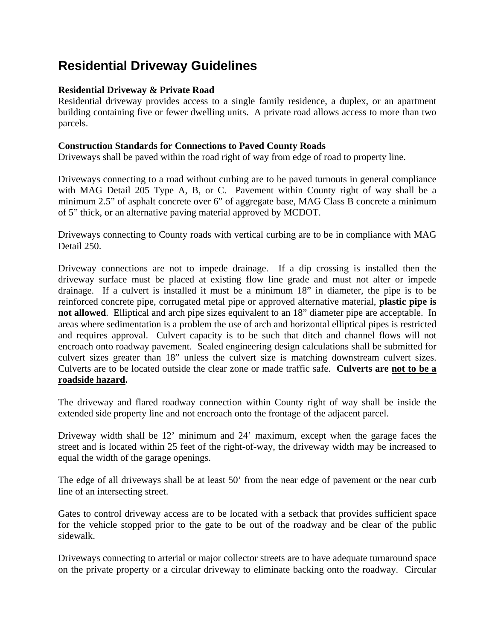# **Residential Driveway Guidelines**

## **Residential Driveway & Private Road**

Residential driveway provides access to a single family residence, a duplex, or an apartment building containing five or fewer dwelling units. A private road allows access to more than two parcels.

#### **Construction Standards for Connections to Paved County Roads**

Driveways shall be paved within the road right of way from edge of road to property line.

Driveways connecting to a road without curbing are to be paved turnouts in general compliance with MAG Detail 205 Type A, B, or C. Pavement within County right of way shall be a minimum 2.5" of asphalt concrete over 6" of aggregate base, MAG Class B concrete a minimum of 5" thick, or an alternative paving material approved by MCDOT.

Driveways connecting to County roads with vertical curbing are to be in compliance with MAG Detail 250.

Driveway connections are not to impede drainage. If a dip crossing is installed then the driveway surface must be placed at existing flow line grade and must not alter or impede drainage. If a culvert is installed it must be a minimum 18" in diameter, the pipe is to be reinforced concrete pipe, corrugated metal pipe or approved alternative material, **plastic pipe is not allowed**. Elliptical and arch pipe sizes equivalent to an 18" diameter pipe are acceptable. In areas where sedimentation is a problem the use of arch and horizontal elliptical pipes is restricted and requires approval. Culvert capacity is to be such that ditch and channel flows will not encroach onto roadway pavement. Sealed engineering design calculations shall be submitted for culvert sizes greater than 18" unless the culvert size is matching downstream culvert sizes. Culverts are to be located outside the clear zone or made traffic safe. **Culverts are not to be a roadside hazard.** 

The driveway and flared roadway connection within County right of way shall be inside the extended side property line and not encroach onto the frontage of the adjacent parcel.

Driveway width shall be 12' minimum and 24' maximum, except when the garage faces the street and is located within 25 feet of the right-of-way, the driveway width may be increased to equal the width of the garage openings.

The edge of all driveways shall be at least 50' from the near edge of pavement or the near curb line of an intersecting street.

Gates to control driveway access are to be located with a setback that provides sufficient space for the vehicle stopped prior to the gate to be out of the roadway and be clear of the public sidewalk.

Driveways connecting to arterial or major collector streets are to have adequate turnaround space on the private property or a circular driveway to eliminate backing onto the roadway. Circular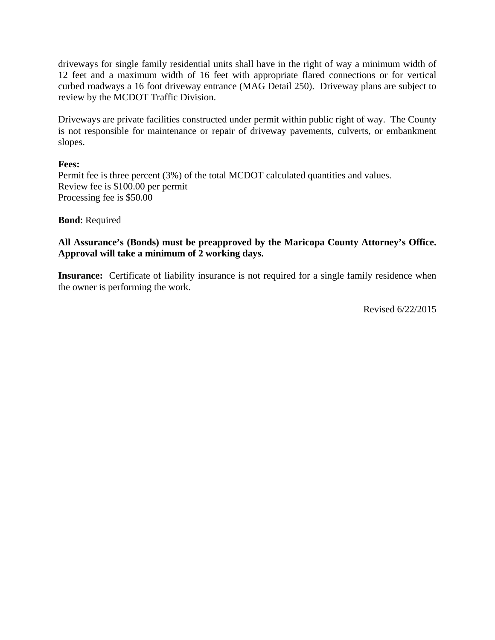driveways for single family residential units shall have in the right of way a minimum width of 12 feet and a maximum width of 16 feet with appropriate flared connections or for vertical curbed roadways a 16 foot driveway entrance (MAG Detail 250). Driveway plans are subject to review by the MCDOT Traffic Division.

Driveways are private facilities constructed under permit within public right of way. The County is not responsible for maintenance or repair of driveway pavements, culverts, or embankment slopes.

#### **Fees:**

Permit fee is three percent (3%) of the total MCDOT calculated quantities and values. Review fee is \$100.00 per permit Processing fee is \$50.00

#### **Bond**: Required

## **All Assurance's (Bonds) must be preapproved by the Maricopa County Attorney's Office. Approval will take a minimum of 2 working days.**

**Insurance:** Certificate of liability insurance is not required for a single family residence when the owner is performing the work.

Revised 6/22/2015